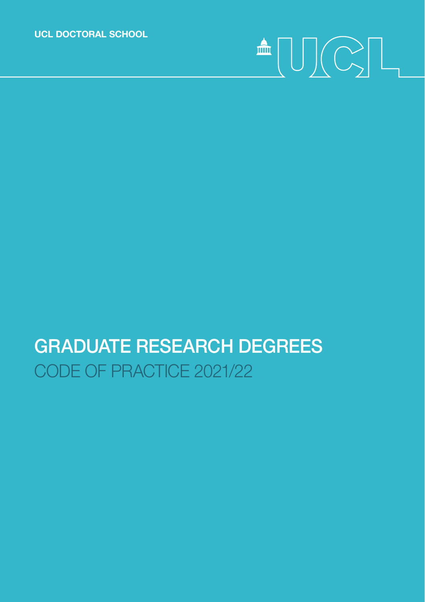**UCL DOCTORAL SCHOOL**

# $\begin{picture}(20,5) \put(0,0){\line(1,0){155}} \put(15,0){\line(1,0){155}} \put(15,0){\line(1,0){155}} \put(15,0){\line(1,0){155}} \put(15,0){\line(1,0){155}} \put(15,0){\line(1,0){155}} \put(15,0){\line(1,0){155}} \put(15,0){\line(1,0){155}} \put(15,0){\line(1,0){155}} \put(15,0){\line(1,0){155}} \put(15,0){\line(1,0){155}} \put$

## GRADUATE RESEARCH DEGREES CODE OF PRACTICE 2021/22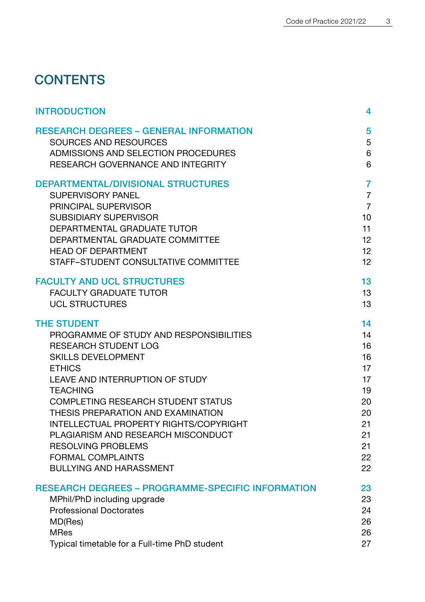## **CONTENTS**

| <b>INTRODUCTION</b>                                      | 4               |
|----------------------------------------------------------|-----------------|
| <b>RESEARCH DEGREES - GENERAL INFORMATION</b>            | 5               |
| <b>SOURCES AND RESOURCES</b>                             | 5               |
| ADMISSIONS AND SELECTION PROCEDURES                      | 6               |
| RESEARCH GOVERNANCE AND INTEGRITY                        | 6               |
| <b>DEPARTMENTAL/DIVISIONAL STRUCTURES</b>                | $\overline{7}$  |
| <b>SUPERVISORY PANEL</b>                                 | $\overline{7}$  |
| PRINCIPAL SUPERVISOR                                     | $\overline{7}$  |
| <b>SUBSIDIARY SUPERVISOR</b>                             | 10 <sup>1</sup> |
| DEPARTMENTAL GRADUATE TUTOR                              | 11              |
| DEPARTMENTAL GRADUATE COMMITTEE                          | 12              |
| <b>HEAD OF DEPARTMENT</b>                                | 12              |
| STAFF-STUDENT CONSULTATIVE COMMITTEE                     | 12 <sup>2</sup> |
| <b>FACULTY AND UCL STRUCTURES</b>                        | 13              |
| <b>FACULTY GRADUATE TUTOR</b>                            | 13              |
| <b>UCL STRUCTURES</b>                                    | 13              |
| <b>THE STUDENT</b>                                       | 14              |
| PROGRAMME OF STUDY AND RESPONSIBILITIES                  | 14              |
| <b>RESEARCH STUDENT LOG</b>                              | 16              |
| <b>SKILLS DEVELOPMENT</b>                                | 16              |
| <b>ETHICS</b>                                            | 17              |
| LEAVE AND INTERRUPTION OF STUDY                          | 17              |
| <b>TEACHING</b>                                          | 19              |
| <b>COMPLETING RESEARCH STUDENT STATUS</b>                | 20              |
| THESIS PREPARATION AND EXAMINATION                       | 20              |
| <b>INTELLECTUAL PROPERTY RIGHTS/COPYRIGHT</b>            | 21              |
| PLAGIARISM AND RESEARCH MISCONDUCT                       | 21              |
| <b>RESOLVING PROBLEMS</b>                                | 21              |
| <b>FORMAL COMPLAINTS</b>                                 | 22              |
| <b>BULLYING AND HARASSMENT</b>                           | 22              |
| <b>RESEARCH DEGREES - PROGRAMME-SPECIFIC INFORMATION</b> | 23              |
| MPhil/PhD including upgrade                              | 23              |
| <b>Professional Doctorates</b>                           | 24              |
| MD(Res)                                                  | 26              |
| <b>MRes</b>                                              | 26              |
| Typical timetable for a Full-time PhD student            | 27              |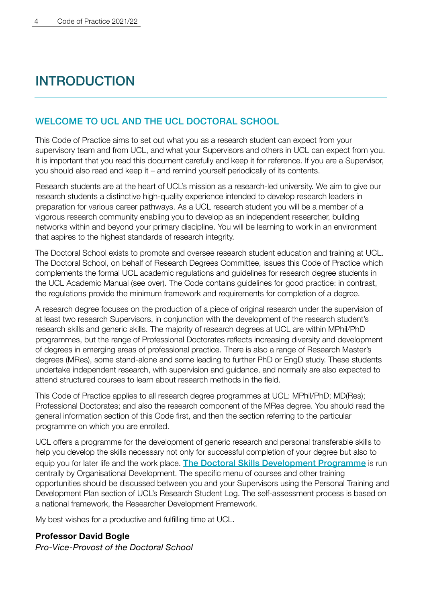## <span id="page-2-0"></span>**INTRODUCTION**

#### WELCOME TO UCL AND THE UCL DOCTORAL SCHOOL

This Code of Practice aims to set out what you as a research student can expect from your supervisory team and from UCL, and what your Supervisors and others in UCL can expect from you. It is important that you read this document carefully and keep it for reference. If you are a Supervisor, you should also read and keep it – and remind yourself periodically of its contents.

Research students are at the heart of UCL's mission as a research-led university. We aim to give our research students a distinctive high-quality experience intended to develop research leaders in preparation for various career pathways. As a UCL research student you will be a member of a vigorous research community enabling you to develop as an independent researcher, building networks within and beyond your primary discipline. You will be learning to work in an environment that aspires to the highest standards of research integrity.

The Doctoral School exists to promote and oversee research student education and training at UCL. The Doctoral School, on behalf of Research Degrees Committee, issues this Code of Practice which complements the formal UCL academic regulations and guidelines for research degree students in the UCL Academic Manual (see over). The Code contains guidelines for good practice: in contrast, the regulations provide the minimum framework and requirements for completion of a degree.

A research degree focuses on the production of a piece of original research under the supervision of at least two research Supervisors, in conjunction with the development of the research student's research skills and generic skills. The majority of research degrees at UCL are within MPhil/PhD programmes, but the range of Professional Doctorates reflects increasing diversity and development of degrees in emerging areas of professional practice. There is also a range of Research Master's degrees (MRes), some stand-alone and some leading to further PhD or EngD study. These students undertake independent research, with supervision and guidance, and normally are also expected to attend structured courses to learn about research methods in the field.

This Code of Practice applies to all research degree programmes at UCL: MPhil/PhD; MD(Res); Professional Doctorates; and also the research component of the MRes degree. You should read the general information section of this Code first, and then the section referring to the particular programme on which you are enrolled.

UCL offers a programme for the development of generic research and personal transferable skills to help you develop the skills necessary not only for successful completion of your degree but also to equip you for later life and the work place. [The Doctoral Skills Development Programme](https://www.ucl.ac.uk/human-resources/learning-development/learning-academy/researcher-development/doctoral-skills-development-programme-0) is run centrally by Organisational Development. The specific menu of courses and other training opportunities should be discussed between you and your Supervisors using the Personal Training and Development Plan section of UCL's Research Student Log. The self-assessment process is based on a national framework, the Researcher Development Framework.

My best wishes for a productive and fulfilling time at UCL.

#### **Professor David Bogle**

*Pro-Vice-Provost of the Doctoral School*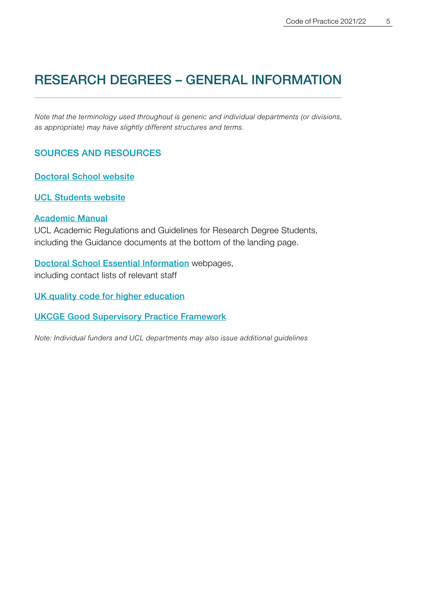## <span id="page-3-0"></span>RESEARCH DEGREES – GENERAL INFORMATION

*Note that the terminology used throughout is generic and individual departments (or divisions, as appropriate) may have slightly different structures and terms.*

#### SOURCES AND RESOURCES

[Doctoral School website](https://www.grad.ucl.ac.uk/)

[UCL Students website](https://www.ucl.ac.uk/students)

#### [Academic Manual](https://www.ucl.ac.uk/academic-manual/chapters/chapter-5-research-degrees-framework)

UCL Academic Regulations and Guidelines for Research Degree Students, including the Guidance documents at the bottom of the landing page.

[Doctoral School Essential Information](https://www.grad.ucl.ac.uk/essinfo/) webpages, including contact lists of relevant staff

[UK quality code for higher education](https://www.qaa.ac.uk/quality-code)

[UKCGE Good Supervisory Practice Framework](https://supervision.ukcge.ac.uk/good-supervisory-practice-framework/)

*Note: Individual funders and UCL departments may also issue additional guidelines*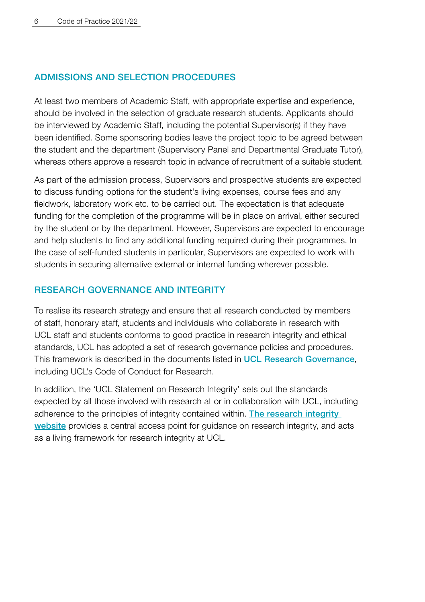#### <span id="page-4-0"></span>ADMISSIONS AND SELECTION PROCEDURES

At least two members of Academic Staff, with appropriate expertise and experience, should be involved in the selection of graduate research students. Applicants should be interviewed by Academic Staff, including the potential Supervisor(s) if they have been identified. Some sponsoring bodies leave the project topic to be agreed between the student and the department (Supervisory Panel and Departmental Graduate Tutor), whereas others approve a research topic in advance of recruitment of a suitable student.

As part of the admission process, Supervisors and prospective students are expected to discuss funding options for the student's living expenses, course fees and any fieldwork, laboratory work etc. to be carried out. The expectation is that adequate funding for the completion of the programme will be in place on arrival, either secured by the student or by the department. However, Supervisors are expected to encourage and help students to find any additional funding required during their programmes. In the case of self-funded students in particular, Supervisors are expected to work with students in securing alternative external or internal funding wherever possible.

#### RESEARCH GOVERNANCE AND INTEGRITY

To realise its research strategy and ensure that all research conducted by members of staff, honorary staff, students and individuals who collaborate in research with UCL staff and students conforms to good practice in research integrity and ethical standards, UCL has adopted a set of research governance policies and procedures. This framework is described in the documents listed in [UCL Research Governance](https://www.ucl.ac.uk/srs/governance-and-committees/research-governance), including UCL's Code of Conduct for Research.

In addition, the 'UCL Statement on Research Integrity' sets out the standards expected by all those involved with research at or in collaboration with UCL, including adherence to the principles of integrity contained within. [The research integrity](https://www.ucl.ac.uk/research/integrity)  [website](https://www.ucl.ac.uk/research/integrity) provides a central access point for guidance on research integrity, and acts as a living framework for research integrity at UCL.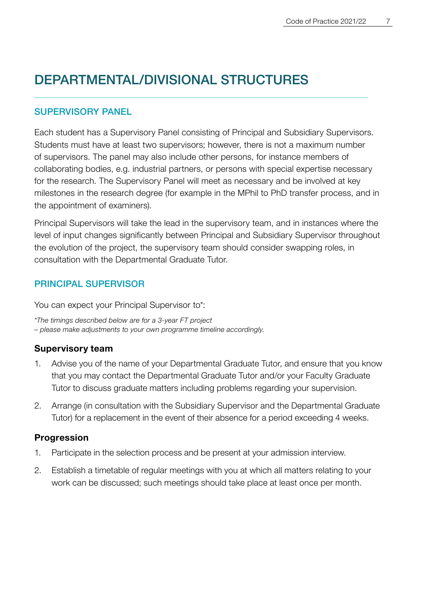## <span id="page-5-0"></span>DEPARTMENTAL/DIVISIONAL STRUCTURES

#### SUPERVISORY PANEL

Each student has a Supervisory Panel consisting of Principal and Subsidiary Supervisors. Students must have at least two supervisors; however, there is not a maximum number of supervisors. The panel may also include other persons, for instance members of collaborating bodies, e.g. industrial partners, or persons with special expertise necessary for the research. The Supervisory Panel will meet as necessary and be involved at key milestones in the research degree (for example in the MPhil to PhD transfer process, and in the appointment of examiners).

Principal Supervisors will take the lead in the supervisory team, and in instances where the level of input changes significantly between Principal and Subsidiary Supervisor throughout the evolution of the project, the supervisory team should consider swapping roles, in consultation with the Departmental Graduate Tutor.

#### PRINCIPAL SUPERVISOR

You can expect your Principal Supervisor to\*:

*\*The timings described below are for a 3-year FT project – please make adjustments to your own programme timeline accordingly.*

#### **Supervisory team**

- 1. Advise you of the name of your Departmental Graduate Tutor, and ensure that you know that you may contact the Departmental Graduate Tutor and/or your Faculty Graduate Tutor to discuss graduate matters including problems regarding your supervision.
- 2. Arrange (in consultation with the Subsidiary Supervisor and the Departmental Graduate Tutor) for a replacement in the event of their absence for a period exceeding 4 weeks.

#### **Progression**

- 1. Participate in the selection process and be present at your admission interview.
- 2. Establish a timetable of regular meetings with you at which all matters relating to your work can be discussed; such meetings should take place at least once per month.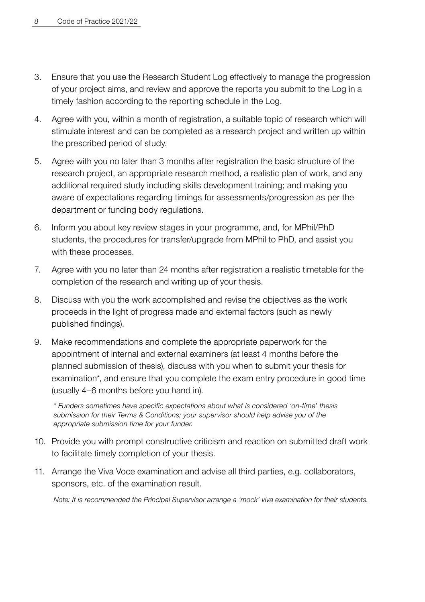- 3. Ensure that you use the Research Student Log effectively to manage the progression of your project aims, and review and approve the reports you submit to the Log in a timely fashion according to the reporting schedule in the Log.
- 4. Agree with you, within a month of registration, a suitable topic of research which will stimulate interest and can be completed as a research project and written up within the prescribed period of study.
- 5. Agree with you no later than 3 months after registration the basic structure of the research project, an appropriate research method, a realistic plan of work, and any additional required study including skills development training; and making you aware of expectations regarding timings for assessments/progression as per the department or funding body regulations.
- 6. Inform you about key review stages in your programme, and, for MPhil/PhD students, the procedures for transfer/upgrade from MPhil to PhD, and assist you with these processes.
- 7. Agree with you no later than 24 months after registration a realistic timetable for the completion of the research and writing up of your thesis.
- 8. Discuss with you the work accomplished and revise the objectives as the work proceeds in the light of progress made and external factors (such as newly published findings).
- 9. Make recommendations and complete the appropriate paperwork for the appointment of internal and external examiners (at least 4 months before the planned submission of thesis), discuss with you when to submit your thesis for examination\*, and ensure that you complete the exam entry procedure in good time (usually 4–6 months before you hand in).

 *\* Funders sometimes have specific expectations about what is considered 'on-time' thesis submission for their Terms & Conditions; your supervisor should help advise you of the appropriate submission time for your funder.*

- 10. Provide you with prompt constructive criticism and reaction on submitted draft work to facilitate timely completion of your thesis.
- 11. Arrange the Viva Voce examination and advise all third parties, e.g. collaborators, sponsors, etc. of the examination result.

 *Note: It is recommended the Principal Supervisor arrange a 'mock' viva examination for their students.*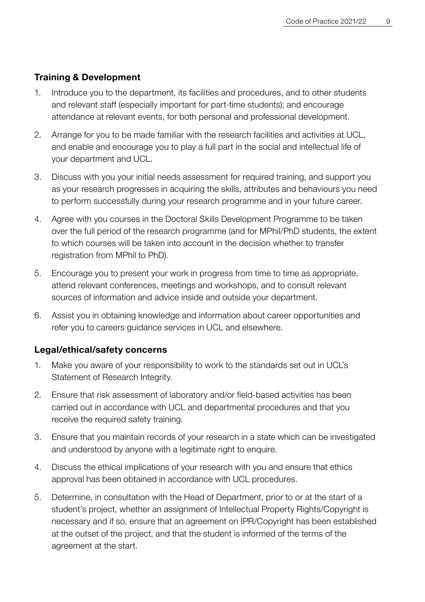#### **Training & Development**

- 1. Introduce you to the department, its facilities and procedures, and to other students and relevant staff (especially important for part-time students); and encourage attendance at relevant events, for both personal and professional development.
- 2. Arrange for you to be made familiar with the research facilities and activities at UCL, and enable and encourage you to play a full part in the social and intellectual life of your department and UCL.
- 3. Discuss with you your initial needs assessment for required training, and support you as your research progresses in acquiring the skills, attributes and behaviours you need to perform successfully during your research programme and in your future career.
- 4. Agree with you courses in the Doctoral Skills Development Programme to be taken over the full period of the research programme (and for MPhil/PhD students, the extent to which courses will be taken into account in the decision whether to transfer registration from MPhil to PhD).
- 5. Encourage you to present your work in progress from time to time as appropriate, attend relevant conferences, meetings and workshops, and to consult relevant sources of information and advice inside and outside your department.
- 6. Assist you in obtaining knowledge and information about career opportunities and refer you to careers guidance services in UCL and elsewhere.

#### **Legal/ethical/safety concerns**

- 1. Make you aware of your responsibility to work to the standards set out in UCL's Statement of Research Integrity.
- 2. Ensure that risk assessment of laboratory and/or field-based activities has been carried out in accordance with UCL and departmental procedures and that you receive the required safety training.
- 3. Ensure that you maintain records of your research in a state which can be investigated and understood by anyone with a legitimate right to enquire.
- 4. Discuss the ethical implications of your research with you and ensure that ethics approval has been obtained in accordance with UCL procedures.
- 5. Determine, in consultation with the Head of Department, prior to or at the start of a student's project, whether an assignment of Intellectual Property Rights/Copyright is necessary and if so, ensure that an agreement on IPR/Copyright has been established at the outset of the project, and that the student is informed of the terms of the agreement at the start.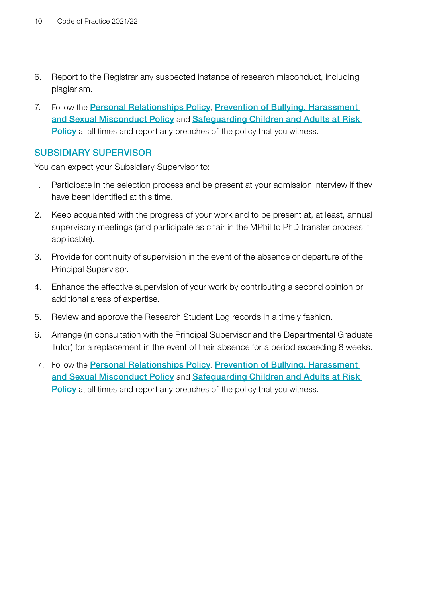- <span id="page-8-0"></span>6. Report to the Registrar any suspected instance of research misconduct, including plagiarism.
- 7. Follow the [Personal Relationships Policy](https://www.ucl.ac.uk/human-resources/personal-relationships-policy), [Prevention of Bullying, Harassment](https://www.ucl.ac.uk/equality-diversity-inclusion/dignity-ucl/prevention-bullying-harassment-and-sexual-misconduct-policy)  [and Sexual Misconduct Policy](https://www.ucl.ac.uk/equality-diversity-inclusion/dignity-ucl/prevention-bullying-harassment-and-sexual-misconduct-policy) and [Safeguarding Children and Adults at Risk](https://www.ucl.ac.uk/human-resources/safeguarding-children-and-adults-risk-policy-and-procedure-staff-and-students)  **[Policy](https://www.ucl.ac.uk/human-resources/safeguarding-children-and-adults-risk-policy-and-procedure-staff-and-students)** at all times and report any breaches of the policy that you witness.

#### SUBSIDIARY SUPERVISOR

You can expect your Subsidiary Supervisor to:

- 1. Participate in the selection process and be present at your admission interview if they have been identified at this time.
- 2. Keep acquainted with the progress of your work and to be present at, at least, annual supervisory meetings (and participate as chair in the MPhil to PhD transfer process if applicable).
- 3. Provide for continuity of supervision in the event of the absence or departure of the Principal Supervisor.
- 4. Enhance the effective supervision of your work by contributing a second opinion or additional areas of expertise.
- 5. Review and approve the Research Student Log records in a timely fashion.
- 6. Arrange (in consultation with the Principal Supervisor and the Departmental Graduate Tutor) for a replacement in the event of their absence for a period exceeding 8 weeks.
- 7. Follow the [Personal Relationships Policy](https://www.ucl.ac.uk/human-resources/personal-relationships-policy), [Prevention of Bullying, Harassment](https://www.ucl.ac.uk/equality-diversity-inclusion/dignity-ucl/prevention-bullying-harassment-and-sexual-misconduct-policy)  [and Sexual Misconduct Policy](https://www.ucl.ac.uk/equality-diversity-inclusion/dignity-ucl/prevention-bullying-harassment-and-sexual-misconduct-policy) and [Safeguarding Children and Adults at Risk](https://www.ucl.ac.uk/human-resources/safeguarding-children-and-adults-risk-policy-and-procedure-staff-and-students)  **[Policy](https://www.ucl.ac.uk/human-resources/safeguarding-children-and-adults-risk-policy-and-procedure-staff-and-students)** at all times and report any breaches of the policy that you witness.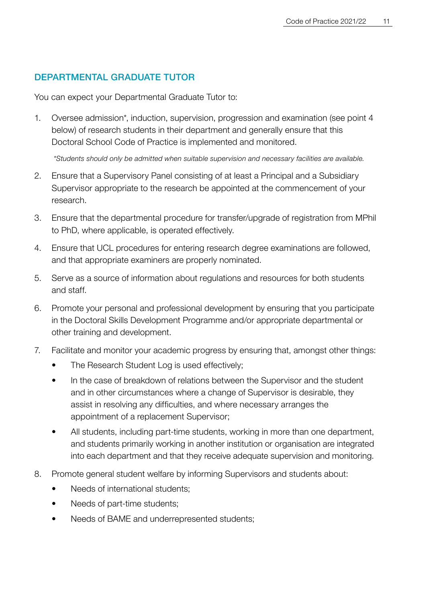#### <span id="page-9-0"></span>DEPARTMENTAL GRADUATE TUTOR

You can expect your Departmental Graduate Tutor to:

1. Oversee admission\*, induction, supervision, progression and examination (see point 4 below) of research students in their department and generally ensure that this Doctoral School Code of Practice is implemented and monitored.

 *\*Students should only be admitted when suitable supervision and necessary facilities are available.*

- 2. Ensure that a Supervisory Panel consisting of at least a Principal and a Subsidiary Supervisor appropriate to the research be appointed at the commencement of your research.
- 3. Ensure that the departmental procedure for transfer/upgrade of registration from MPhil to PhD, where applicable, is operated effectively.
- 4. Ensure that UCL procedures for entering research degree examinations are followed, and that appropriate examiners are properly nominated.
- 5. Serve as a source of information about regulations and resources for both students and staff.
- 6. Promote your personal and professional development by ensuring that you participate in the Doctoral Skills Development Programme and/or appropriate departmental or other training and development.
- 7. Facilitate and monitor your academic progress by ensuring that, amongst other things:
	- The Research Student Log is used effectively;
	- In the case of breakdown of relations between the Supervisor and the student and in other circumstances where a change of Supervisor is desirable, they assist in resolving any difficulties, and where necessary arranges the appointment of a replacement Supervisor;
	- All students, including part-time students, working in more than one department, and students primarily working in another institution or organisation are integrated into each department and that they receive adequate supervision and monitoring.
- 8. Promote general student welfare by informing Supervisors and students about:
	- Needs of international students;
	- Needs of part-time students:
	- Needs of BAME and underrepresented students;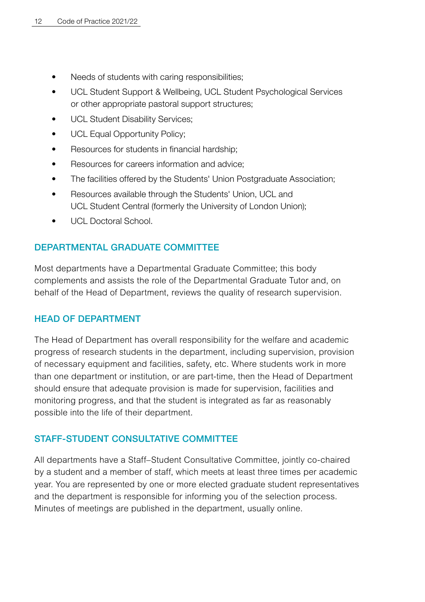- <span id="page-10-0"></span>• Needs of students with caring responsibilities:
- UCL Student Support & Wellbeing, UCL Student Psychological Services or other appropriate pastoral support structures;
- UCL Student Disability Services;
- UCL Equal Opportunity Policy;
- Resources for students in financial hardship;
- Resources for careers information and advice:
- The facilities offered by the Students' Union Postgraduate Association;
- Resources available through the Students' Union, UCL and UCL Student Central (formerly the University of London Union);
- **UCL Doctoral School.**

#### DEPARTMENTAL GRADUATE COMMITTEE

Most departments have a Departmental Graduate Committee; this body complements and assists the role of the Departmental Graduate Tutor and, on behalf of the Head of Department, reviews the quality of research supervision.

#### HEAD OF DEPARTMENT

The Head of Department has overall responsibility for the welfare and academic progress of research students in the department, including supervision, provision of necessary equipment and facilities, safety, etc. Where students work in more than one department or institution, or are part-time, then the Head of Department should ensure that adequate provision is made for supervision, facilities and monitoring progress, and that the student is integrated as far as reasonably possible into the life of their department.

#### STAFF-STUDENT CONSULTATIVE COMMITTEE

All departments have a Staff–Student Consultative Committee, jointly co-chaired by a student and a member of staff, which meets at least three times per academic year. You are represented by one or more elected graduate student representatives and the department is responsible for informing you of the selection process. Minutes of meetings are published in the department, usually online.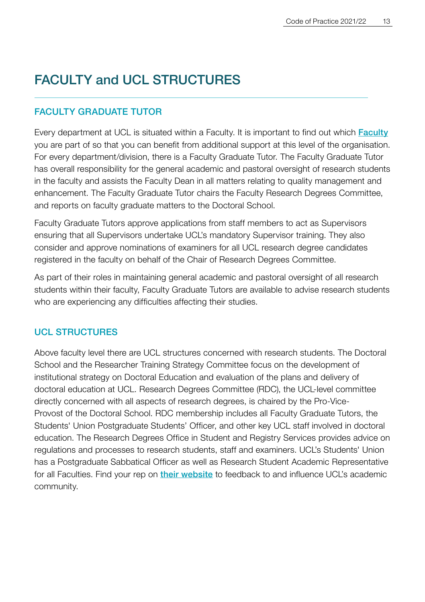## <span id="page-11-0"></span>FACULTY and UCL STRUCTURES

#### FACULTY GRADUATE TUTOR

Every department at UCL is situated within a Faculty. It is important to find out which [Faculty](https://www.ucl.ac.uk/about/how-ucl-works/ucl-faculties) you are part of so that you can benefit from additional support at this level of the organisation. For every department/division, there is a Faculty Graduate Tutor. The Faculty Graduate Tutor has overall responsibility for the general academic and pastoral oversight of research students in the faculty and assists the Faculty Dean in all matters relating to quality management and enhancement. The Faculty Graduate Tutor chairs the Faculty Research Degrees Committee, and reports on faculty graduate matters to the Doctoral School.

Faculty Graduate Tutors approve applications from staff members to act as Supervisors ensuring that all Supervisors undertake UCL's mandatory Supervisor training. They also consider and approve nominations of examiners for all UCL research degree candidates registered in the faculty on behalf of the Chair of Research Degrees Committee.

As part of their roles in maintaining general academic and pastoral oversight of all research students within their faculty, Faculty Graduate Tutors are available to advise research students who are experiencing any difficulties affecting their studies.

#### UCL STRUCTURES

Above faculty level there are UCL structures concerned with research students. The Doctoral School and the Researcher Training Strategy Committee focus on the development of institutional strategy on Doctoral Education and evaluation of the plans and delivery of doctoral education at UCL. Research Degrees Committee (RDC), the UCL-level committee directly concerned with all aspects of research degrees, is chaired by the Pro-Vice-Provost of the Doctoral School. RDC membership includes all Faculty Graduate Tutors, the Students' Union Postgraduate Students' Officer, and other key UCL staff involved in doctoral education. The Research Degrees Office in Student and Registry Services provides advice on regulations and processes to research students, staff and examiners. UCL's Students' Union has a Postgraduate Sabbatical Officer as well as Research Student Academic Representative for all Faculties. Find your rep on [their website](https://studentsunionucl.org/faculty-representatives-2020-21) to feedback to and influence UCL's academic community.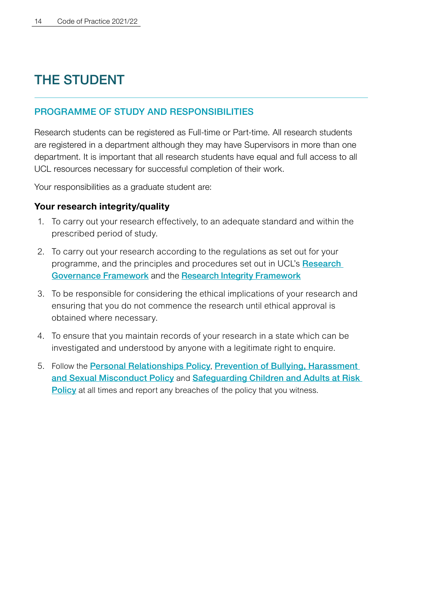## <span id="page-12-0"></span>THE STUDENT

#### PROGRAMME OF STUDY AND RESPONSIBILITIES

Research students can be registered as Full-time or Part-time. All research students are registered in a department although they may have Supervisors in more than one department. It is important that all research students have equal and full access to all UCL resources necessary for successful completion of their work.

Your responsibilities as a graduate student are:

#### **Your research integrity/quality**

- 1. To carry out your research effectively, to an adequate standard and within the prescribed period of study.
- 2. To carry out your research according to the regulations as set out for your programme, and the principles and procedures set out in UCL's Research [Governance Framework](https://www.ucl.ac.uk/governance-compliance/research-governance) and the [Research Integrity Framework](https://www.ucl.ac.uk/research/integrity/research-integrity-training-framework)
- 3. To be responsible for considering the ethical implications of your research and ensuring that you do not commence the research until ethical approval is obtained where necessary.
- 4. To ensure that you maintain records of your research in a state which can be investigated and understood by anyone with a legitimate right to enquire.
- 5. Follow the [Personal Relationships Policy](https://www.ucl.ac.uk/human-resources/personal-relationships-policy), [Prevention of Bullying, Harassment](https://www.ucl.ac.uk/equality-diversity-inclusion/dignity-ucl/prevention-bullying-harassment-and-sexual-misconduct-policy)  [and Sexual Misconduct Policy](https://www.ucl.ac.uk/equality-diversity-inclusion/dignity-ucl/prevention-bullying-harassment-and-sexual-misconduct-policy) and [Safeguarding Children and Adults at Risk](https://www.ucl.ac.uk/human-resources/safeguarding-children-and-adults-risk-policy-and-procedure-staff-and-students)  **[Policy](https://www.ucl.ac.uk/human-resources/safeguarding-children-and-adults-risk-policy-and-procedure-staff-and-students)** at all times and report any breaches of the policy that you witness.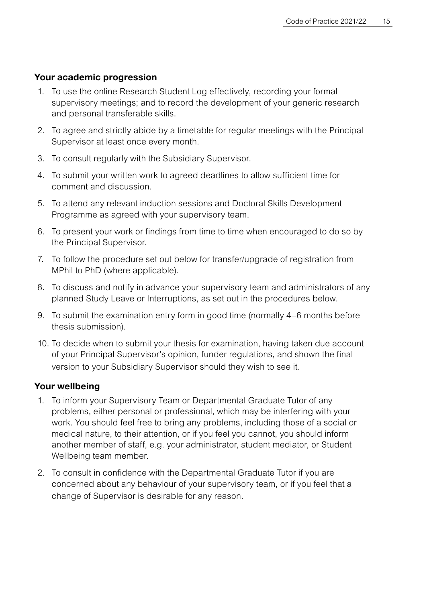#### **Your academic progression**

- 1. To use the online Research Student Log effectively, recording your formal supervisory meetings; and to record the development of your generic research and personal transferable skills.
- 2. To agree and strictly abide by a timetable for regular meetings with the Principal Supervisor at least once every month.
- 3. To consult regularly with the Subsidiary Supervisor.
- 4. To submit your written work to agreed deadlines to allow sufficient time for comment and discussion.
- 5. To attend any relevant induction sessions and Doctoral Skills Development Programme as agreed with your supervisory team.
- 6. To present your work or findings from time to time when encouraged to do so by the Principal Supervisor.
- 7. To follow the procedure set out below for transfer/upgrade of registration from MPhil to PhD (where applicable).
- 8. To discuss and notify in advance your supervisory team and administrators of any planned Study Leave or Interruptions, as set out in the procedures below.
- 9. To submit the examination entry form in good time (normally 4–6 months before thesis submission).
- 10. To decide when to submit your thesis for examination, having taken due account of your Principal Supervisor's opinion, funder regulations, and shown the final version to your Subsidiary Supervisor should they wish to see it.

#### **Your wellbeing**

- 1. To inform your Supervisory Team or Departmental Graduate Tutor of any problems, either personal or professional, which may be interfering with your work. You should feel free to bring any problems, including those of a social or medical nature, to their attention, or if you feel you cannot, you should inform another member of staff, e.g. your administrator, student mediator, or Student Wellbeing team member.
- 2. To consult in confidence with the Departmental Graduate Tutor if you are concerned about any behaviour of your supervisory team, or if you feel that a change of Supervisor is desirable for any reason.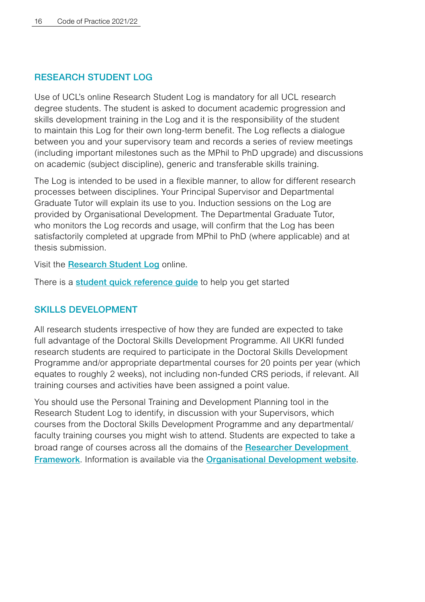#### <span id="page-14-0"></span>RESEARCH STUDENT LOG

Use of UCL's online Research Student Log is mandatory for all UCL research degree students. The student is asked to document academic progression and skills development training in the Log and it is the responsibility of the student to maintain this Log for their own long-term benefit. The Log reflects a dialogue between you and your supervisory team and records a series of review meetings (including important milestones such as the MPhil to PhD upgrade) and discussions on academic (subject discipline), generic and transferable skills training.

The Log is intended to be used in a flexible manner, to allow for different research processes between disciplines. Your Principal Supervisor and Departmental Graduate Tutor will explain its use to you. Induction sessions on the Log are provided by Organisational Development. The Departmental Graduate Tutor, who monitors the Log records and usage, will confirm that the Log has been satisfactorily completed at upgrade from MPhil to PhD (where applicable) and at thesis submission.

Visit the [Research Student Log](https://researchlog.grad.ucl.ac.uk/) online.

There is a **student quick reference quide** to help you get started

#### SKILLS DEVELOPMENT

All research students irrespective of how they are funded are expected to take full advantage of the Doctoral Skills Development Programme. All UKRI funded research students are required to participate in the Doctoral Skills Development Programme and/or appropriate departmental courses for 20 points per year (which equates to roughly 2 weeks), not including non-funded CRS periods, if relevant. All training courses and activities have been assigned a point value.

You should use the Personal Training and Development Planning tool in the Research Student Log to identify, in discussion with your Supervisors, which courses from the Doctoral Skills Development Programme and any departmental/ faculty training courses you might wish to attend. Students are expected to take a broad range of courses across all the domains of the Researcher Development [Framework](https://www.vitae.ac.uk/researchers-professional-development/about-the-vitae-researcher-development-framework-planner). Information is available via the [Organisational Development website](https://www.ucl.ac.uk/human-resources/learning-development/learning-academy/researcher-development/doctoral-skills-development-programme-4).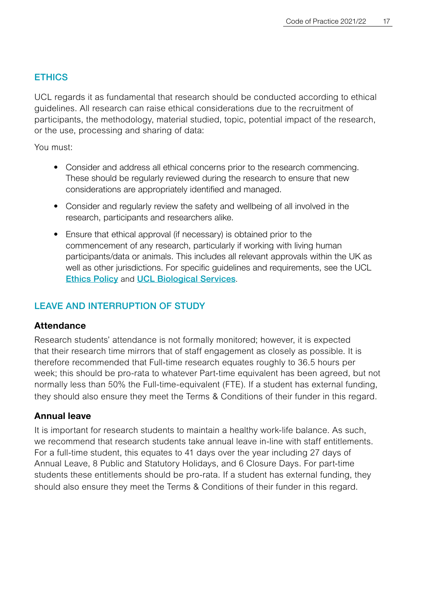#### <span id="page-15-0"></span>**ETHICS**

UCL regards it as fundamental that research should be conducted according to ethical guidelines. All research can raise ethical considerations due to the recruitment of participants, the methodology, material studied, topic, potential impact of the research, or the use, processing and sharing of data:

You must:

- Consider and address all ethical concerns prior to the research commencing. These should be regularly reviewed during the research to ensure that new considerations are appropriately identified and managed.
- Consider and regularly review the safety and wellbeing of all involved in the research, participants and researchers alike.
- Ensure that ethical approval (if necessary) is obtained prior to the commencement of any research, particularly if working with living human participants/data or animals. This includes all relevant approvals within the UK as well as other jurisdictions. For specific guidelines and requirements, see the UCL **[Ethics Policy](https://ethics.grad.ucl.ac.uk/index.php) and [UCL Biological Services](https://www.ucl.ac.uk/animal-research/).**

#### LEAVE AND INTERRUPTION OF STUDY

#### **Attendance**

Research students' attendance is not formally monitored; however, it is expected that their research time mirrors that of staff engagement as closely as possible. It is therefore recommended that Full-time research equates roughly to 36.5 hours per week; this should be pro-rata to whatever Part-time equivalent has been agreed, but not normally less than 50% the Full-time-equivalent (FTE). If a student has external funding, they should also ensure they meet the Terms & Conditions of their funder in this regard.

#### **Annual leave**

It is important for research students to maintain a healthy work-life balance. As such, we recommend that research students take annual leave in-line with staff entitlements. For a full-time student, this equates to 41 days over the year including 27 days of Annual Leave, 8 Public and Statutory Holidays, and 6 Closure Days. For part-time students these entitlements should be pro-rata. If a student has external funding, they should also ensure they meet the Terms & Conditions of their funder in this regard.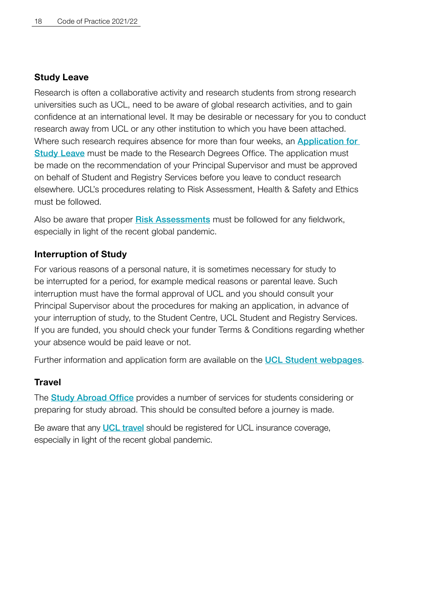#### **Study Leave**

Research is often a collaborative activity and research students from strong research universities such as UCL, need to be aware of global research activities, and to gain confidence at an international level. It may be desirable or necessary for you to conduct research away from UCL or any other institution to which you have been attached. Where such research requires absence for more than four weeks, an **Application for** [Study Leave](https://www.ucl.ac.uk/students/status/research-students/studying-away) must be made to the Research Degrees Office. The application must be made on the recommendation of your Principal Supervisor and must be approved on behalf of Student and Registry Services before you leave to conduct research elsewhere. UCL's procedures relating to Risk Assessment, Health & Safety and Ethics must be followed.

Also be aware that proper [Risk Assessments](https://www.ucl.ac.uk/research/integrity/framework-starting-or-resuming-fieldwork-non-ucl-settings) must be followed for any fieldwork, especially in light of the recent global pandemic.

#### **Interruption of Study**

For various reasons of a personal nature, it is sometimes necessary for study to be interrupted for a period, for example medical reasons or parental leave. Such interruption must have the formal approval of UCL and you should consult your Principal Supervisor about the procedures for making an application, in advance of your interruption of study, to the Student Centre, UCL Student and Registry Services. If you are funded, you should check your funder Terms & Conditions regarding whether your absence would be paid leave or not.

Further information and application form are available on the **[UCL Student webpages](https://www.ucl.ac.uk/students/student-status/changes-your-studies/interrupting-or-withdrawing-your-studies/interruptions).** 

#### **Travel**

The **[Study Abroad Office](https://www.ucl.ac.uk/studyabroad)** provides a number of services for students considering or preparing for study abroad. This should be consulted before a journey is made.

Be aware that any **[UCL travel](https://www.ucl.ac.uk/finance/expenses-insurance/travel-ucl-business)** should be registered for UCL insurance coverage, especially in light of the recent global pandemic.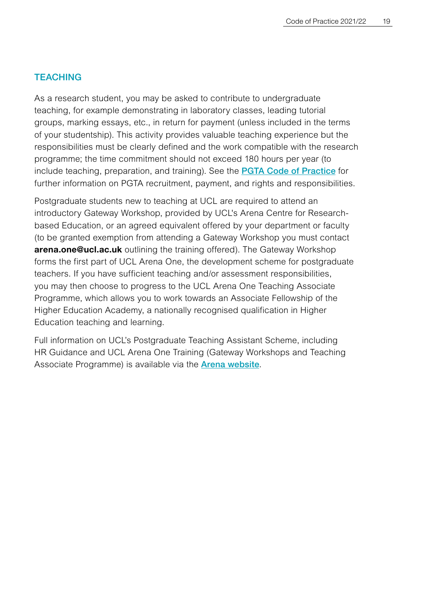#### <span id="page-17-0"></span>**TFACHING**

As a research student, you may be asked to contribute to undergraduate teaching, for example demonstrating in laboratory classes, leading tutorial groups, marking essays, etc., in return for payment (unless included in the terms of your studentship). This activity provides valuable teaching experience but the responsibilities must be clearly defined and the work compatible with the research programme; the time commitment should not exceed 180 hours per year (to include teaching, preparation, and training). See the [PGTA Code of Practice](https://www.ucl.ac.uk/human-resources/postgraduate-teaching-assistant-code-practice) for further information on PGTA recruitment, payment, and rights and responsibilities.

Postgraduate students new to teaching at UCL are required to attend an introductory Gateway Workshop, provided by UCL's Arena Centre for Researchbased Education, or an agreed equivalent offered by your department or faculty (to be granted exemption from attending a Gateway Workshop you must contact **[arena.one@ucl.ac.uk](mailto:arena.one%40ucl.ac.uk?subject=)** outlining the training offered). The Gateway Workshop forms the first part of UCL Arena One, the development scheme for postgraduate teachers. If you have sufficient teaching and/or assessment responsibilities, you may then choose to progress to the UCL Arena One Teaching Associate Programme, which allows you to work towards an Associate Fellowship of the Higher Education Academy, a nationally recognised qualification in Higher Education teaching and learning.

Full information on UCL's Postgraduate Teaching Assistant Scheme, including HR Guidance and UCL Arena One Training (Gateway Workshops and Teaching Associate Programme) is available via the **[Arena website](https://www.ucl.ac.uk/teaching-learning/professional-development/ucl-arena/arena-one)**.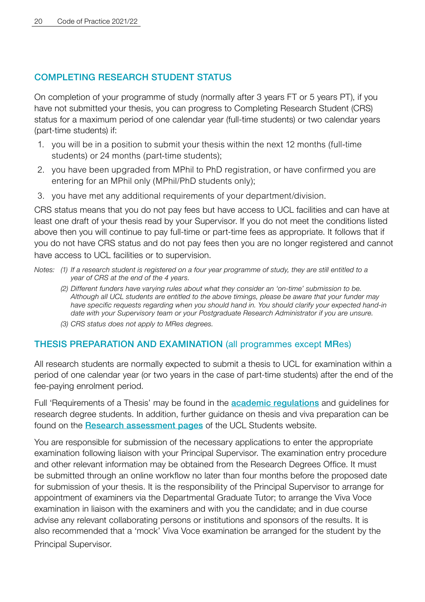#### <span id="page-18-0"></span>COMPLETING RESEARCH STUDENT STATUS

On completion of your programme of study (normally after 3 years FT or 5 years PT), if you have not submitted your thesis, you can progress to Completing Research Student (CRS) status for a maximum period of one calendar year (full-time students) or two calendar years (part-time students) if:

- 1. you will be in a position to submit your thesis within the next 12 months (full-time students) or 24 months (part-time students):
- 2. you have been upgraded from MPhil to PhD registration, or have confirmed you are entering for an MPhil only (MPhil/PhD students only);
- 3. you have met any additional requirements of your department/division.

CRS status means that you do not pay fees but have access to UCL facilities and can have at least one draft of your thesis read by your Supervisor. If you do not meet the conditions listed above then you will continue to pay full-time or part-time fees as appropriate. It follows that if you do not have CRS status and do not pay fees then you are no longer registered and cannot have access to UCL facilities or to supervision.

*Notes: (1) If a research student is registered on a four year programme of study, they are still entitled to a year of CRS at the end of the 4 years.* 

- *(2) Different funders have varying rules about what they consider an 'on-time' submission to be. Although all UCL students are entitled to the above timings, please be aware that your funder may have specific requests regarding when you should hand in. You should clarify your expected hand-in date with your Supervisory team or your Postgraduate Research Administrator if you are unsure.*
- *(3) CRS status does not apply to MRes degrees.*

#### THESIS PREPARATION AND EXAMINATION (all programmes except MRes)

All research students are normally expected to submit a thesis to UCL for examination within a period of one calendar year (or two years in the case of part-time students) after the end of the fee-paying enrolment period.

Full 'Requirements of a Thesis' may be found in the [academic regulations](https://www.ucl.ac.uk/academic-manual/chapters/chapter-5-research-degrees-framework) and guidelines for research degree students. In addition, further guidance on thesis and viva preparation can be found on the **[Research assessment pages](https://www.ucl.ac.uk/students/exams-and-assessments/research-assessments)** of the UCL Students website.

You are responsible for submission of the necessary applications to enter the appropriate examination following liaison with your Principal Supervisor. The examination entry procedure and other relevant information may be obtained from the Research Degrees Office. It must be submitted through an online workflow no later than four months before the proposed date for submission of your thesis. It is the responsibility of the Principal Supervisor to arrange for appointment of examiners via the Departmental Graduate Tutor; to arrange the Viva Voce examination in liaison with the examiners and with you the candidate; and in due course advise any relevant collaborating persons or institutions and sponsors of the results. It is also recommended that a 'mock' Viva Voce examination be arranged for the student by the Principal Supervisor.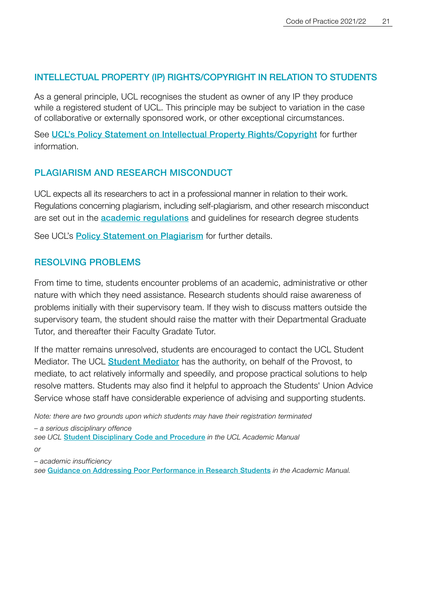#### <span id="page-19-0"></span>INTELLECTUAL PROPERTY (IP) RIGHTS/COPYRIGHT IN RELATION TO STUDENTS

As a general principle, UCL recognises the student as owner of any IP they produce while a registered student of UCL. This principle may be subject to variation in the case of collaborative or externally sponsored work, or other exceptional circumstances.

See [UCL's Policy Statement on Intellectual Property Rights/Copyright](https://www.ucl.ac.uk/enterprise/about/governance-and-policies/ucl-intellectual-property-ip-policy) for further information.

#### PLAGIARISM AND RESEARCH MISCONDUCT

UCL expects all its researchers to act in a professional manner in relation to their work. Regulations concerning plagiarism, including self-plagiarism, and other research misconduct are set out in the **[academic regulations](https://www.ucl.ac.uk/academic-manual/chapters/chapter-5-research-degrees-framework)** and guidelines for research degree students

See UCL's **[Policy Statement on Plagiarism](https://www.ucl.ac.uk/students/exams-and-assessments/academic-integrity)** for further details.

#### RESOLVING PROBLEMS

From time to time, students encounter problems of an academic, administrative or other nature with which they need assistance. Research students should raise awareness of problems initially with their supervisory team. If they wish to discuss matters outside the supervisory team, the student should raise the matter with their Departmental Graduate Tutor, and thereafter their Faculty Gradate Tutor.

If the matter remains unresolved, students are encouraged to contact the UCL Student Mediator. The UCL **[Student Mediator](https://www.ucl.ac.uk/student-mediator)** has the authority, on behalf of the Provost, to mediate, to act relatively informally and speedily, and propose practical solutions to help resolve matters. Students may also find it helpful to approach the Students' Union Advice Service whose staff have considerable experience of advising and supporting students.

*Note: there are two grounds upon which students may have their registration terminated – a serious disciplinary offence see UCL* [Student Disciplinary Code and Procedure](https://www.ucl.ac.uk/academic-manual/chapters/chapter-6-student-casework-framework) *in the UCL Academic Manual*

*or*

*– academic insufficiency*

*see* [Guidance on Addressing Poor Performance in Research Students](https://www.ucl.ac.uk/academic-manual/sites/academic_manual/files/addressing_poor_performance_in_research_students_2021-22.pdf) *in the Academic Manual.*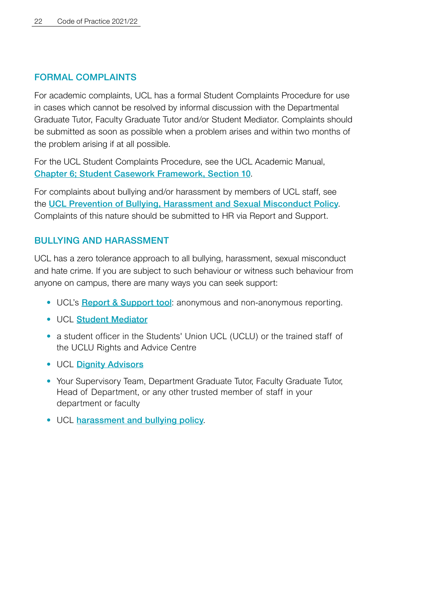#### <span id="page-20-0"></span>FORMAL COMPLAINTS

For academic complaints, UCL has a formal Student Complaints Procedure for use in cases which cannot be resolved by informal discussion with the Departmental Graduate Tutor, Faculty Graduate Tutor and/or Student Mediator. Complaints should be submitted as soon as possible when a problem arises and within two months of the problem arising if at all possible.

For the UCL Student Complaints Procedure, see the UCL Academic Manual, [Chapter 6; Student Casework Framework, Section 10](https://www.ucl.ac.uk/academic-manual/chapters/chapter-6-student-casework-framework).

For complaints about bullying and/or harassment by members of UCL staff, see the [UCL Prevention of Bullying, Harassment and Sexual Misconduct Policy](https://www.ucl.ac.uk/equality-diversity-inclusion/dignity-ucl/prevention-bullying-harassment-and-sexual-misconduct-policy). Complaints of this nature should be submitted to HR via Report and Support.

#### BULLYING AND HARASSMENT

UCL has a zero tolerance approach to all bullying, harassment, sexual misconduct and hate crime. If you are subject to such behaviour or witness such behaviour from anyone on campus, there are many ways you can seek support:

- UCL's [Report & Support tool](https://report-support.ucl.ac.uk/): anonymous and non-anonymous reporting.
- UCL [Student Mediator](https://www.ucl.ac.uk/student-mediator)
- a student officer in the Students' Union UCL (UCLU) or the trained staff of the UCLU Rights and Advice Centre
- UCL Dianity Advisors
- Your Supervisory Team, Department Graduate Tutor, Faculty Graduate Tutor, Head of Department, or any other trusted member of staff in your department or faculty
- UCL [harassment and bullying policy](https://www.ucl.ac.uk/equality-diversity-inclusion/dignity-ucl).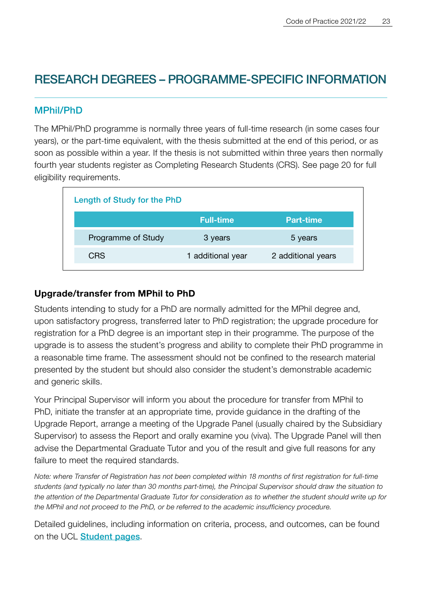### <span id="page-21-0"></span>RESEARCH DEGREES – PROGRAMME-SPECIFIC INFORMATION

#### MPhil/PhD

The MPhil/PhD programme is normally three years of full-time research (in some cases four years), or the part-time equivalent, with the thesis submitted at the end of this period, or as soon as possible within a year. If the thesis is not submitted within three years then normally fourth year students register as Completing Research Students (CRS). See page 20 for full eligibility requirements.

| Length of Study for the PhD |                    |
|-----------------------------|--------------------|
| <b>Full-time</b>            | Part-time          |
| 3 years                     | 5 years            |
| 1 additional year           | 2 additional years |
|                             |                    |

#### **Upgrade/transfer from MPhil to PhD**

Students intending to study for a PhD are normally admitted for the MPhil degree and, upon satisfactory progress, transferred later to PhD registration; the upgrade procedure for registration for a PhD degree is an important step in their programme. The purpose of the upgrade is to assess the student's progress and ability to complete their PhD programme in a reasonable time frame. The assessment should not be confined to the research material presented by the student but should also consider the student's demonstrable academic and generic skills.

Your Principal Supervisor will inform you about the procedure for transfer from MPhil to PhD, initiate the transfer at an appropriate time, provide guidance in the drafting of the Upgrade Report, arrange a meeting of the Upgrade Panel (usually chaired by the Subsidiary Supervisor) to assess the Report and orally examine you (viva). The Upgrade Panel will then advise the Departmental Graduate Tutor and you of the result and give full reasons for any failure to meet the required standards.

*Note: where Transfer of Registration has not been completed within 18 months of first registration for full-time students (and typically no later than 30 months part-time), the Principal Supervisor should draw the situation to the attention of the Departmental Graduate Tutor for consideration as to whether the student should write up for the MPhil and not proceed to the PhD, or be referred to the academic insufficiency procedure.* 

Detailed guidelines, including information on criteria, process, and outcomes, can be found on the UCL **[Student pages](https://www.ucl.ac.uk/students/status/research-students/upgrade)**.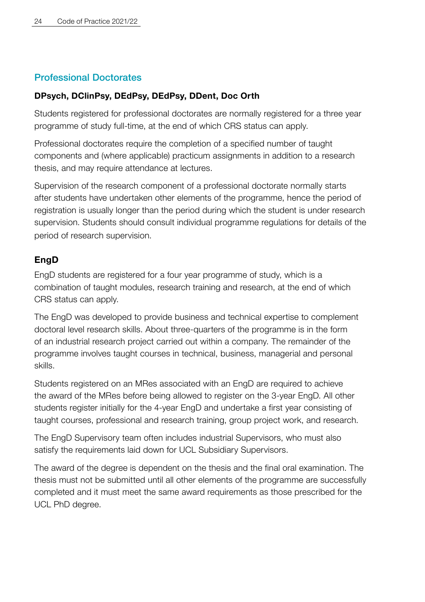#### <span id="page-22-0"></span>Professional Doctorates

#### **DPsych, DClinPsy, DEdPsy, DEdPsy, DDent, Doc Orth**

Students registered for professional doctorates are normally registered for a three year programme of study full-time, at the end of which CRS status can apply.

Professional doctorates require the completion of a specified number of taught components and (where applicable) practicum assignments in addition to a research thesis, and may require attendance at lectures.

Supervision of the research component of a professional doctorate normally starts after students have undertaken other elements of the programme, hence the period of registration is usually longer than the period during which the student is under research supervision. Students should consult individual programme regulations for details of the period of research supervision.

#### **EngD**

EngD students are registered for a four year programme of study, which is a combination of taught modules, research training and research, at the end of which CRS status can apply.

The EngD was developed to provide business and technical expertise to complement doctoral level research skills. About three-quarters of the programme is in the form of an industrial research project carried out within a company. The remainder of the programme involves taught courses in technical, business, managerial and personal skills.

Students registered on an MRes associated with an EngD are required to achieve the award of the MRes before being allowed to register on the 3-year EngD. All other students register initially for the 4-year EngD and undertake a first year consisting of taught courses, professional and research training, group project work, and research.

The EngD Supervisory team often includes industrial Supervisors, who must also satisfy the requirements laid down for UCL Subsidiary Supervisors.

The award of the degree is dependent on the thesis and the final oral examination. The thesis must not be submitted until all other elements of the programme are successfully completed and it must meet the same award requirements as those prescribed for the UCL PhD degree.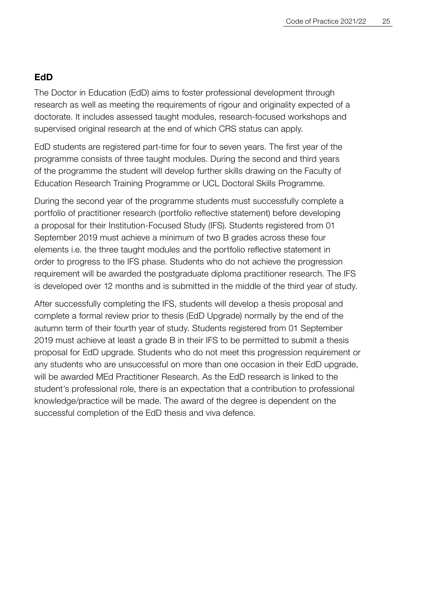#### **EdD**

The Doctor in Education (EdD) aims to foster professional development through research as well as meeting the requirements of rigour and originality expected of a doctorate. It includes assessed taught modules, research-focused workshops and supervised original research at the end of which CRS status can apply.

EdD students are registered part-time for four to seven years. The first year of the programme consists of three taught modules. During the second and third years of the programme the student will develop further skills drawing on the Faculty of Education Research Training Programme or UCL Doctoral Skills Programme.

During the second year of the programme students must successfully complete a portfolio of practitioner research (portfolio reflective statement) before developing a proposal for their Institution-Focused Study (IFS). Students registered from 01 September 2019 must achieve a minimum of two B grades across these four elements i.e. the three taught modules and the portfolio reflective statement in order to progress to the IFS phase. Students who do not achieve the progression requirement will be awarded the postgraduate diploma practitioner research. The IFS is developed over 12 months and is submitted in the middle of the third year of study.

After successfully completing the IFS, students will develop a thesis proposal and complete a formal review prior to thesis (EdD Upgrade) normally by the end of the autumn term of their fourth year of study. Students registered from 01 September 2019 must achieve at least a grade B in their IFS to be permitted to submit a thesis proposal for EdD upgrade. Students who do not meet this progression requirement or any students who are unsuccessful on more than one occasion in their EdD upgrade, will be awarded MEd Practitioner Research. As the EdD research is linked to the student's professional role, there is an expectation that a contribution to professional knowledge/practice will be made. The award of the degree is dependent on the successful completion of the EdD thesis and viva defence.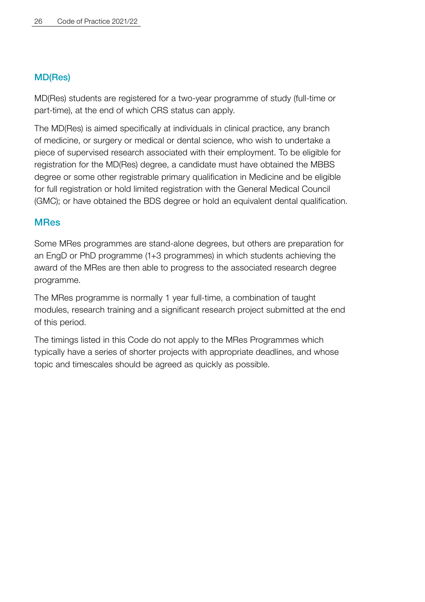#### <span id="page-24-0"></span>MD(Res)

MD(Res) students are registered for a two-year programme of study (full-time or part-time), at the end of which CRS status can apply.

The MD(Res) is aimed specifically at individuals in clinical practice, any branch of medicine, or surgery or medical or dental science, who wish to undertake a piece of supervised research associated with their employment. To be eligible for registration for the MD(Res) degree, a candidate must have obtained the MBBS degree or some other registrable primary qualification in Medicine and be eligible for full registration or hold limited registration with the General Medical Council (GMC); or have obtained the BDS degree or hold an equivalent dental qualification.

#### MRes

Some MRes programmes are stand-alone degrees, but others are preparation for an EngD or PhD programme (1+3 programmes) in which students achieving the award of the MRes are then able to progress to the associated research degree programme.

The MRes programme is normally 1 year full-time, a combination of taught modules, research training and a significant research project submitted at the end of this period.

The timings listed in this Code do not apply to the MRes Programmes which typically have a series of shorter projects with appropriate deadlines, and whose topic and timescales should be agreed as quickly as possible.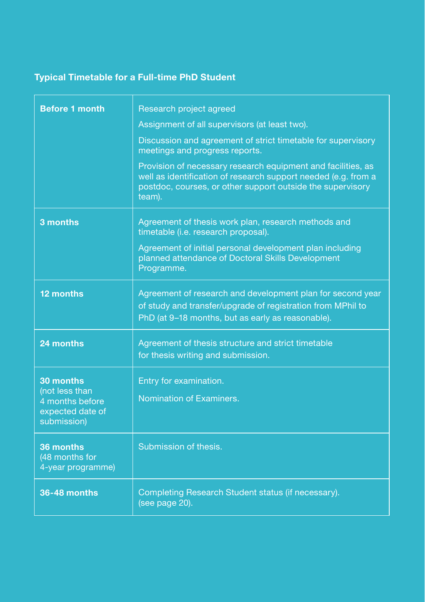#### <span id="page-25-0"></span>**Typical Timetable for a Full-time PhD Student**

| <b>Before 1 month</b>                                                | Research project agreed                                                                                                                                                                                |
|----------------------------------------------------------------------|--------------------------------------------------------------------------------------------------------------------------------------------------------------------------------------------------------|
|                                                                      | Assignment of all supervisors (at least two).                                                                                                                                                          |
|                                                                      | Discussion and agreement of strict timetable for supervisory<br>meetings and progress reports.                                                                                                         |
|                                                                      | Provision of necessary research equipment and facilities, as<br>well as identification of research support needed (e.g. from a<br>postdoc, courses, or other support outside the supervisory<br>team). |
| 3 months                                                             | Agreement of thesis work plan, research methods and<br>timetable (i.e. research proposal).                                                                                                             |
|                                                                      | Agreement of initial personal development plan including<br>planned attendance of Doctoral Skills Development<br>Programme.                                                                            |
| 12 months                                                            | Agreement of research and development plan for second year<br>of study and transfer/upgrade of registration from MPhil to<br>PhD (at 9-18 months, but as early as reasonable).                         |
| 24 months                                                            | Agreement of thesis structure and strict timetable<br>for thesis writing and submission.                                                                                                               |
| 30 months                                                            | Entry for examination.                                                                                                                                                                                 |
| (not less than<br>4 months before<br>expected date of<br>submission) | Nomination of Examiners.                                                                                                                                                                               |
| 36 months<br>(48 months for<br>4-year programme)                     | Submission of thesis.                                                                                                                                                                                  |
| 36-48 months                                                         | Completing Research Student status (if necessary).<br>(see page 20).                                                                                                                                   |